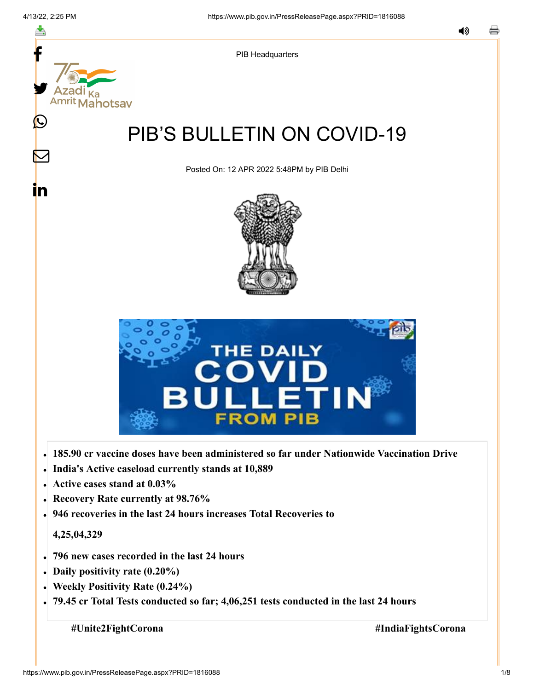f

≛

y.

Mahotsav

Ŀ

 $\bm{\nabla}$ 

In



# PIB'S BULLETIN ON COVID-19

Posted On: 12 APR 2022 5:48PM by PIB Delhi





- **185.90 cr vaccine doses have been administered so far under Nationwide Vaccination Drive**
- **India's Active caseload currently stands at 10,889**
- **Active cases stand at 0.03%**
- **Recovery Rate currently at 98.76%**
- **946 recoveries in the last 24 hours increases Total Recoveries to**

#### **4,25,04,329**

- **796 new cases recorded in the last 24 hours**
- **Daily positivity rate (0.20%)**
- **Weekly Positivity Rate (0.24%)**
- **79.45 cr Total Tests conducted so far; 4,06,251 tests conducted in the last 24 hours**

**#Unite2FightCorona #IndiaFightsCorona**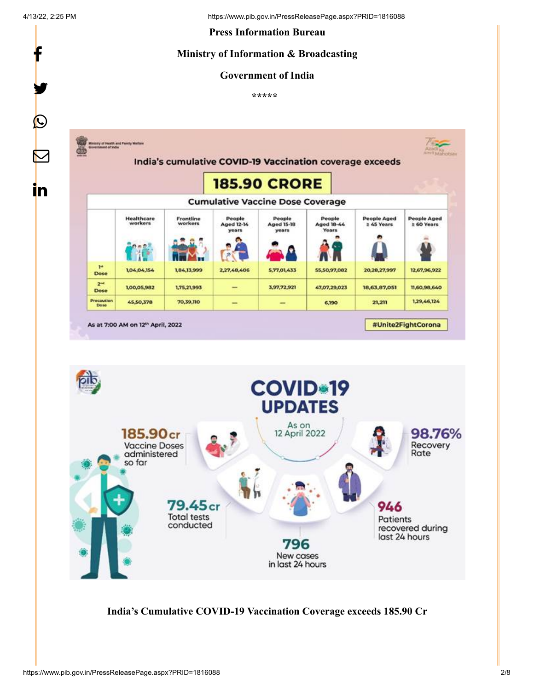f

y.

 $\bigcirc$ 

<u>in</u>

#### **Press Information Bureau**

#### **Ministry of Information & Broadcasting**

#### **Government of India**

**\*\*\*\*\*** 





**India's Cumulative COVID-19 Vaccination Coverage exceeds 185.90 Cr**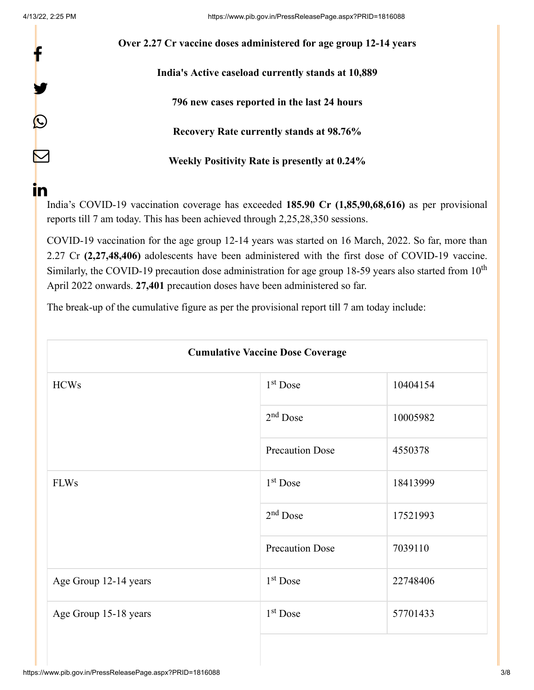f

y.

0

 $\triangleright$ 

**in** 

**Over 2.27 Cr vaccine doses administered for age group 12-14 years**

**India's Active caseload currently stands at 10,889**

**796 new cases reported in the last 24 hours**

**Recovery Rate currently stands at 98.76%**

**Weekly Positivity Rate is presently at 0.24%**

India's COVID-19 vaccination coverage has exceeded **185.90 Cr (1,85,90,68,616)** as per provisional reports till 7 am today. This has been achieved through 2,25,28,350 sessions.

COVID-19 vaccination for the age group 12-14 years was started on 16 March, 2022. So far, more than 2.27 Cr **(2,27,48,406)** adolescents have been administered with the first dose of COVID-19 vaccine. Similarly, the COVID-19 precaution dose administration for age group 18-59 years also started from  $10<sup>th</sup>$ April 2022 onwards. **27,401** precaution doses have been administered so far.

The break-up of the cumulative figure as per the provisional report till 7 am today include:

| <b>Cumulative Vaccine Dose Coverage</b> |                        |          |  |
|-----------------------------------------|------------------------|----------|--|
| <b>HCWs</b>                             | $1st$ Dose             | 10404154 |  |
|                                         | $2nd$ Dose             | 10005982 |  |
|                                         | <b>Precaution Dose</b> | 4550378  |  |
| <b>FLWs</b>                             | $1st$ Dose             | 18413999 |  |
|                                         | $2nd$ Dose             | 17521993 |  |
|                                         | <b>Precaution Dose</b> | 7039110  |  |
| Age Group 12-14 years                   | 1 <sup>st</sup> Dose   | 22748406 |  |
| Age Group 15-18 years                   | $1st$ Dose             | 57701433 |  |
|                                         |                        |          |  |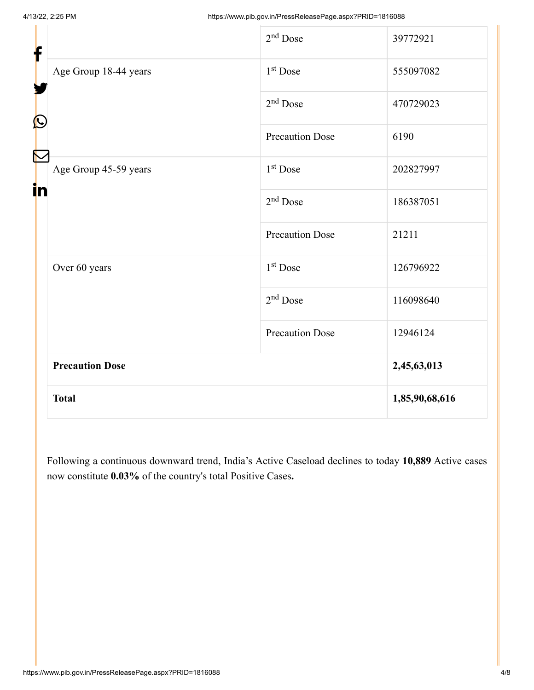| f  |                        | $2nd$ Dose             | 39772921       |
|----|------------------------|------------------------|----------------|
| C  | Age Group 18-44 years  | $1st$ Dose             | 555097082      |
|    |                        | $2nd$ Dose             | 470729023      |
|    |                        | <b>Precaution Dose</b> | 6190           |
|    | Age Group 45-59 years  | $1st$ Dose             | 202827997      |
| in |                        | 2 <sup>nd</sup> Dose   | 186387051      |
|    |                        | <b>Precaution Dose</b> | 21211          |
|    | Over 60 years          | $1st$ Dose             | 126796922      |
|    |                        | $2nd$ Dose             | 116098640      |
|    |                        | <b>Precaution Dose</b> | 12946124       |
|    | <b>Precaution Dose</b> |                        | 2,45,63,013    |
|    | <b>Total</b>           |                        | 1,85,90,68,616 |

Following a continuous downward trend, India's Active Caseload declines to today **10,889** Active cases now constitute **0.03%** of the country's total Positive Cases**.**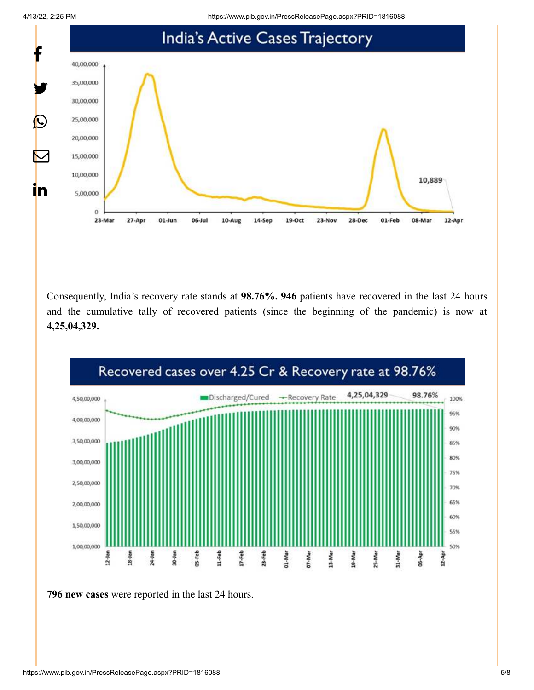4/13/22, 2:25 PM https://www.pib.gov.in/PressReleasePage.aspx?PRID=1816088



Consequently, India's recovery rate stands at **98.76%. 946** patients have recovered in the last 24 hours and the cumulative tally of recovered patients (since the beginning of the pandemic) is now at **4,25,04,329.**



**796 new cases** were reported in the last 24 hours.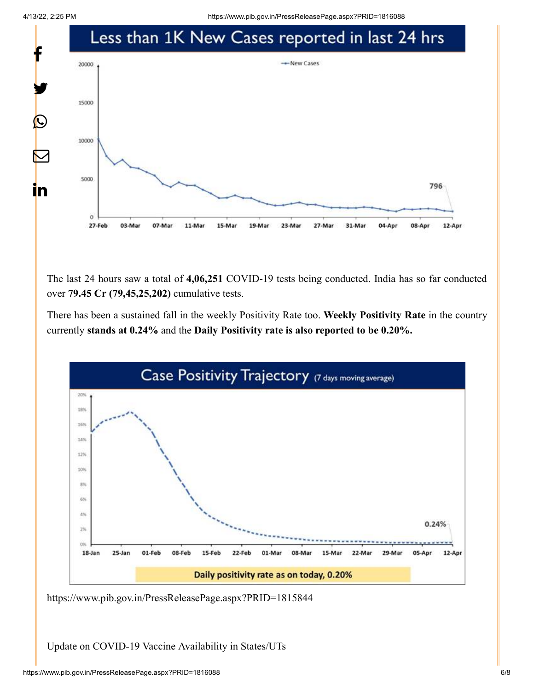4/13/22, 2:25 PM https://www.pib.gov.in/PressReleasePage.aspx?PRID=1816088



The last 24 hours saw a total of **4,06,251** COVID-19 tests being conducted. India has so far conducted over **79.45 Cr (79,45,25,202)** cumulative tests.

There has been a sustained fall in the weekly Positivity Rate too. **Weekly Positivity Rate** in the country currently **stands at 0.24%** and the **Daily Positivity rate is also reported to be 0.20%.**



<https://www.pib.gov.in/PressReleasePage.aspx?PRID=1815844>

Update on COVID-19 Vaccine Availability in States/UTs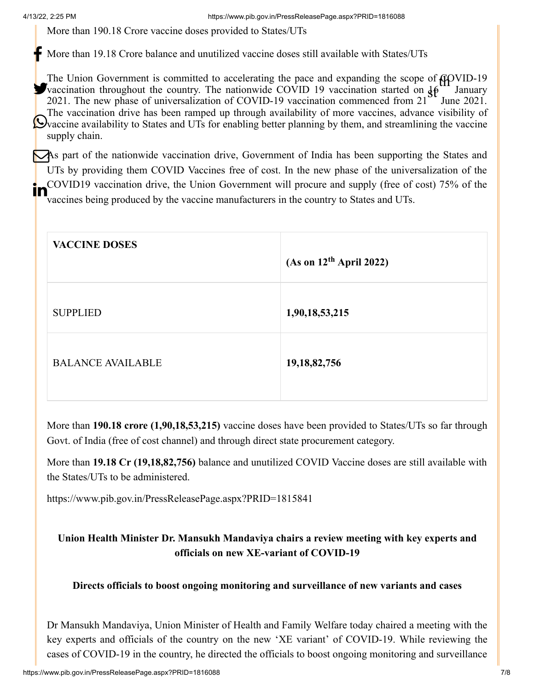4/13/22, 2:25 PM https://www.pib.gov.in/PressReleasePage.aspx?PRID=1816088

More than 190.18 Crore vaccine doses provided to States/UTs

More than 19.18 Crore balance and unutilized vaccine doses still available with States/UTs

The Union Government is committed to accelerating the pace and expanding the scope of GOVID-19 vaccination throughout the country. The nationwide COVID 19 vaccination started on  $\oint_0^{\infty}$  January<br>2021. The new phase of wings distinction of COVID 19 vaccination segmented from 21. 2021. The new phase of universalization of COVID-19 vaccination commenced from  $21<sup>o</sup>$  June 2021. The vaccination drive has been ramped up through availability of more vaccines, advance visibility of Ovaccine availability to States and UTs for enabling better planning by them, and streamlining the vaccine supply chain.

As part of the nationwide vaccination drive, Government of India has been supporting the States and UTs by providing them COVID Vaccines free of cost. In the new phase of the universalization of the COVID19 vaccination drive, the Union Government will procure and supply (free of cost) 75% of the vaccines being produced by the vaccine manufacturers in the country to States and UTs. in

| <b>VACCINE DOSES</b>     | (As on 12 <sup>th</sup> April 2022) |
|--------------------------|-------------------------------------|
| <b>SUPPLIED</b>          | 1,90,18,53,215                      |
| <b>BALANCE AVAILABLE</b> | 19, 18, 82, 756                     |

More than **190.18 crore (1,90,18,53,215)** vaccine doses have been provided to States/UTs so far through Govt. of India (free of cost channel) and through direct state procurement category.

More than **19.18 Cr (19,18,82,756)** balance and unutilized COVID Vaccine doses are still available with the States/UTs to be administered.

<https://www.pib.gov.in/PressReleasePage.aspx?PRID=1815841>

## **Union Health Minister Dr. Mansukh Mandaviya chairs a review meeting with key experts and officials on new XE-variant of COVID-19**

### **Directs officials to boost ongoing monitoring and surveillance of new variants and cases**

Dr Mansukh Mandaviya, Union Minister of Health and Family Welfare today chaired a meeting with the key experts and officials of the country on the new 'XE variant' of COVID-19. While reviewing the cases of COVID-19 in the country, he directed the officials to boost ongoing monitoring and surveillance